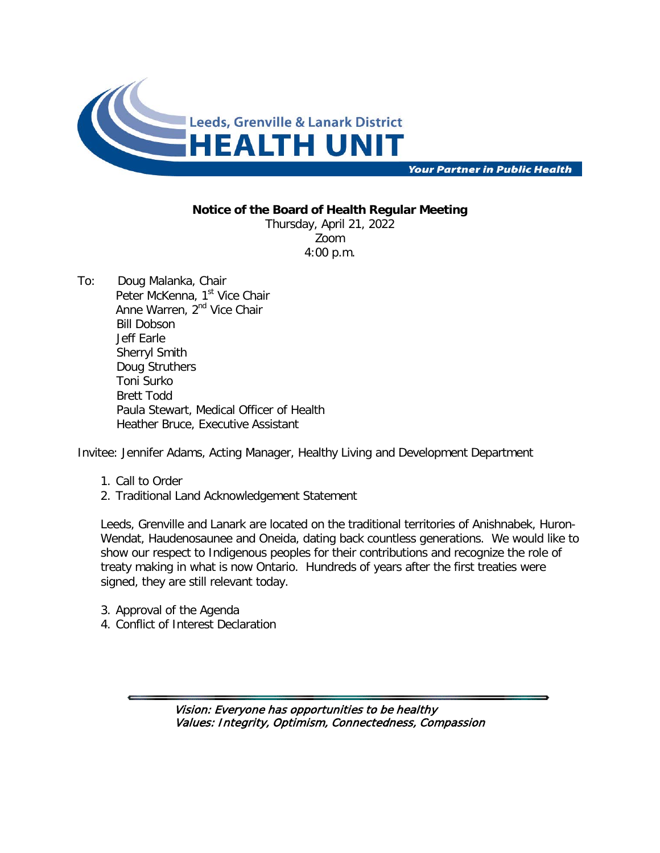

**Your Partner in Public Health** 

## **Notice of the Board of Health Regular Meeting**

Thursday, April 21, 2022 Zoom 4:00 p.m.

To: Doug Malanka, Chair Peter McKenna, 1<sup>st</sup> Vice Chair Anne Warren, 2<sup>nd</sup> Vice Chair Bill Dobson Jeff Earle Sherryl Smith Doug Struthers Toni Surko Brett Todd Paula Stewart, Medical Officer of Health Heather Bruce, Executive Assistant

Invitee: Jennifer Adams, Acting Manager, Healthy Living and Development Department

- 1. Call to Order
- 2. Traditional Land Acknowledgement Statement

Leeds, Grenville and Lanark are located on the traditional territories of Anishnabek, Huron-Wendat, Haudenosaunee and Oneida, dating back countless generations. We would like to show our respect to Indigenous peoples for their contributions and recognize the role of treaty making in what is now Ontario. Hundreds of years after the first treaties were signed, they are still relevant today.

- 3. Approval of the Agenda
- 4. Conflict of Interest Declaration

Vision: Everyone has opportunities to be healthy Values: Integrity, Optimism, Connectedness, Compassion